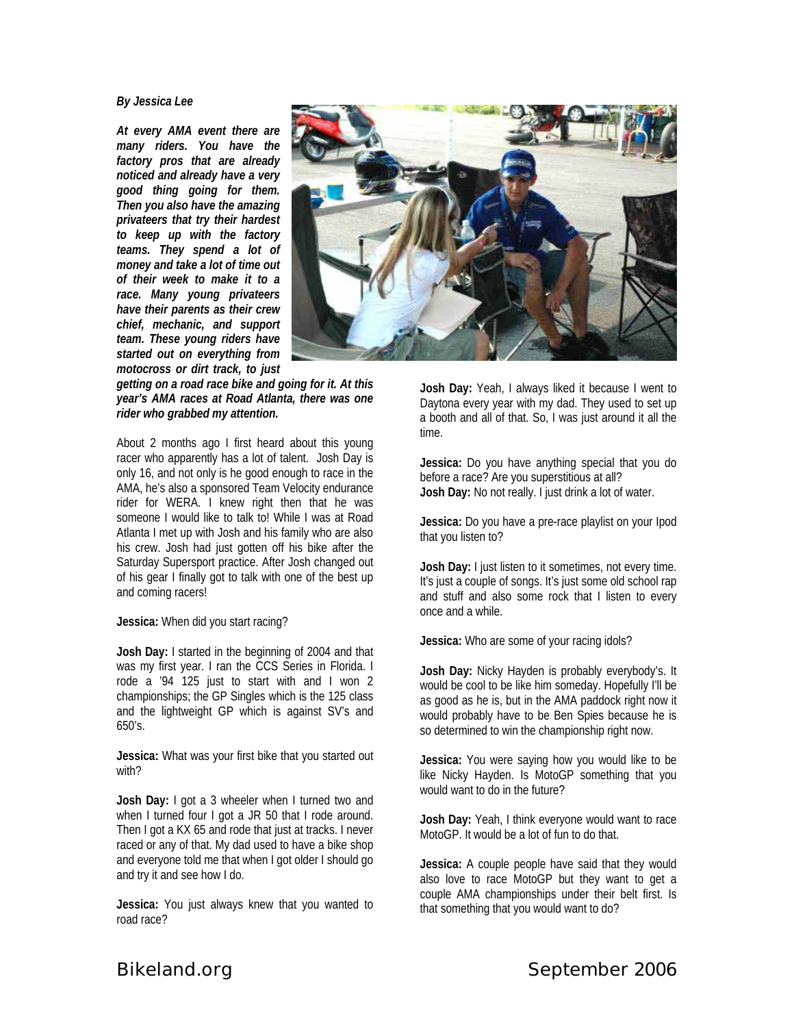## *By Jessica Lee*

*At every AMA event there are many riders. You have the factory pros that are already noticed and already have a very good thing going for them. Then you also have the amazing privateers that try their hardest to keep up with the factory teams. They spend a lot of money and take a lot of time out of their week to make it to a race. Many young privateers have their parents as their crew chief, mechanic, and support team. These young riders have started out on everything from motocross or dirt track, to just* 

*getting on a road race bike and going for it. At this year's AMA races at Road Atlanta, there was one rider who grabbed my attention.* 

About 2 months ago I first heard about this young racer who apparently has a lot of talent. Josh Day is only 16, and not only is he good enough to race in the AMA, he's also a sponsored Team Velocity endurance rider for WERA. I knew right then that he was someone I would like to talk to! While I was at Road Atlanta I met up with Josh and his family who are also his crew. Josh had just gotten off his bike after the Saturday Supersport practice. After Josh changed out of his gear I finally got to talk with one of the best up and coming racers!

**Jessica:** When did you start racing?

**Josh Day:** I started in the beginning of 2004 and that was my first year. I ran the CCS Series in Florida. I rode a '94 125 just to start with and I won 2 championships; the GP Singles which is the 125 class and the lightweight GP which is against SV's and 650's.

**Jessica:** What was your first bike that you started out with?

**Josh Day:** I got a 3 wheeler when I turned two and when I turned four I got a JR 50 that I rode around. Then I got a KX 65 and rode that just at tracks. I never raced or any of that. My dad used to have a bike shop and everyone told me that when I got older I should go and try it and see how I do.

**Jessica:** You just always knew that you wanted to road race?



**Josh Day:** Yeah, I always liked it because I went to Daytona every year with my dad. They used to set up a booth and all of that. So, I was just around it all the time.

**Jessica:** Do you have anything special that you do before a race? Are you superstitious at all? **Josh Day:** No not really. I just drink a lot of water.

**Jessica:** Do you have a pre-race playlist on your Ipod that you listen to?

**Josh Day:** I just listen to it sometimes, not every time. It's just a couple of songs. It's just some old school rap and stuff and also some rock that I listen to every once and a while.

**Jessica:** Who are some of your racing idols?

**Josh Day:** Nicky Hayden is probably everybody's. It would be cool to be like him someday. Hopefully I'll be as good as he is, but in the AMA paddock right now it would probably have to be Ben Spies because he is so determined to win the championship right now.

**Jessica:** You were saying how you would like to be like Nicky Hayden. Is MotoGP something that you would want to do in the future?

**Josh Day:** Yeah, I think everyone would want to race MotoGP. It would be a lot of fun to do that.

**Jessica:** A couple people have said that they would also love to race MotoGP but they want to get a couple AMA championships under their belt first. Is that something that you would want to do?

**Bikeland.org September 2006**